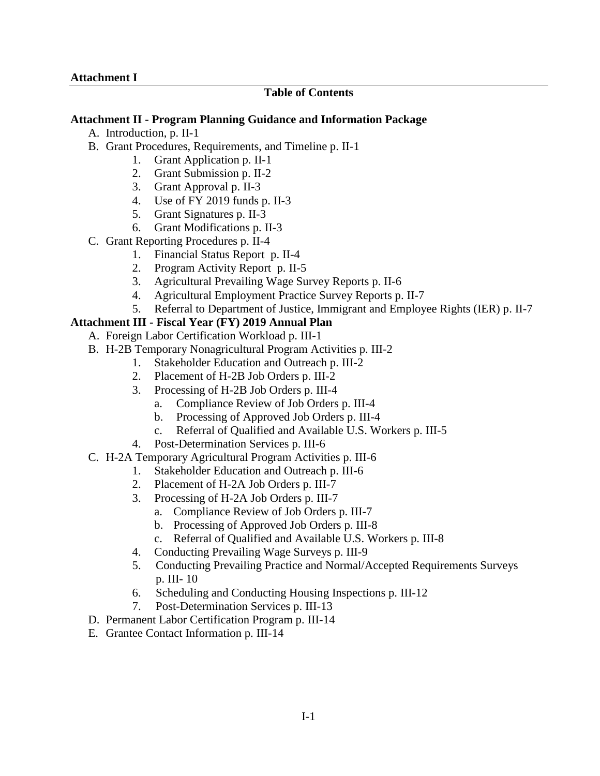## **Table of Contents**

## **Attachment II - Program Planning Guidance and Information Package**

- A. Introduction, p. II-1
- B. Grant Procedures, Requirements, and Timeline p. II-1
	- 1. Grant Application p. II-1
	- 2. Grant Submission p. II-2
	- 3. Grant Approval p. II-3
	- 4. Use of FY 2019 funds p. II-3
	- 5. Grant Signatures p. II-3
	- 6. Grant Modifications p. II-3
- C. Grant Reporting Procedures p. II-4
	- 1. Financial Status Report p. II-4
	- 2. Program Activity Report p. II-5
	- 3. Agricultural Prevailing Wage Survey Reports p. II-6
	- 4. Agricultural Employment Practice Survey Reports p. II-7
	- 5. Referral to Department of Justice, Immigrant and Employee Rights (IER) p. II-7

## **Attachment III - Fiscal Year (FY) 2019 Annual Plan**

- A. Foreign Labor Certification Workload p. III-1
- B. H-2B Temporary Nonagricultural Program Activities p. III-2
	- 1. Stakeholder Education and Outreach p. III-2
	- 2. Placement of H-2B Job Orders p. III-2
	- 3. Processing of H-2B Job Orders p. III-4
		- a. Compliance Review of Job Orders p. III-4
		- b. Processing of Approved Job Orders p. III-4
		- c. Referral of Qualified and Available U.S. Workers p. III-5
	- 4. Post-Determination Services p. III-6
- C. H-2A Temporary Agricultural Program Activities p. III-6
	- 1. Stakeholder Education and Outreach p. III-6
	- 2. Placement of H-2A Job Orders p. III-7
	- 3. Processing of H-2A Job Orders p. III-7
		- a. Compliance Review of Job Orders p. III-7
		- b. Processing of Approved Job Orders p. III-8
		- c. Referral of Qualified and Available U.S. Workers p. III-8
	- 4. Conducting Prevailing Wage Surveys p. III-9
	- 5. Conducting Prevailing Practice and Normal/Accepted Requirements Surveys p. III- 10
	- 6. Scheduling and Conducting Housing Inspections p. III-12
	- 7. Post-Determination Services p. III-13
- D. Permanent Labor Certification Program p. III-14
- E. Grantee Contact Information p. III-14